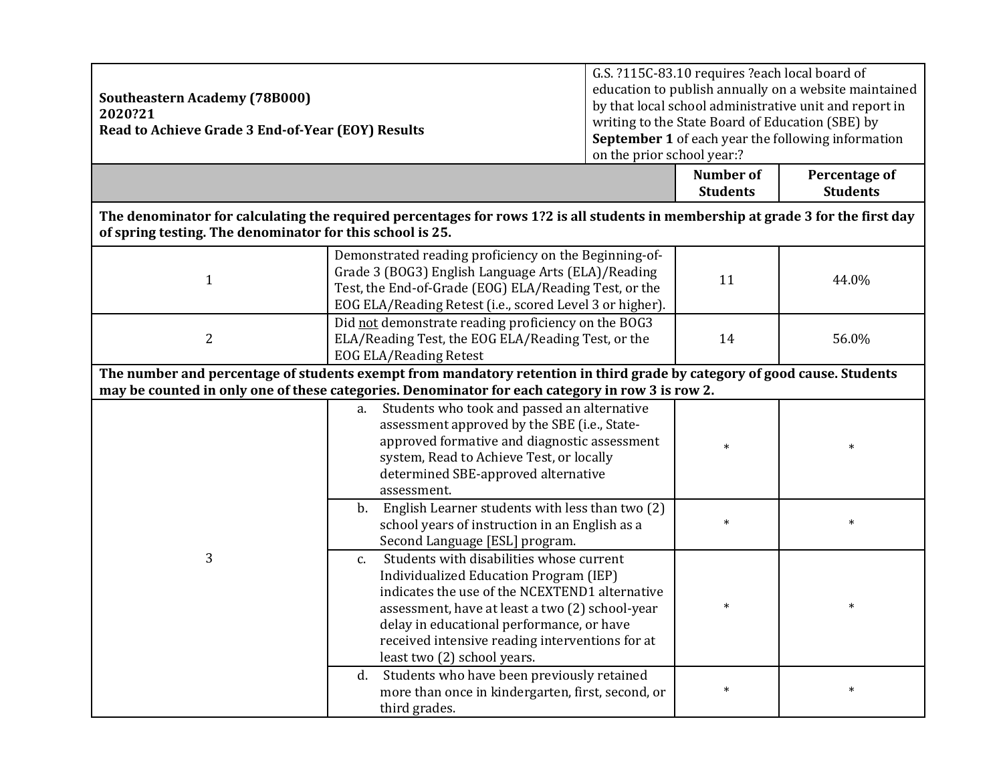| <b>Southeastern Academy (78B000)</b><br>2020?21<br>Read to Achieve Grade 3 End-of-Year (EOY) Results                                                                                                                         |                                                                                                                                                                                                                                                                                                                                     | G.S. ?115C-83.10 requires ?each local board of<br>education to publish annually on a website maintained<br>by that local school administrative unit and report in<br>writing to the State Board of Education (SBE) by<br>September 1 of each year the following information<br>on the prior school year:?<br><b>Number of</b><br>Percentage of |                 |                 |  |  |
|------------------------------------------------------------------------------------------------------------------------------------------------------------------------------------------------------------------------------|-------------------------------------------------------------------------------------------------------------------------------------------------------------------------------------------------------------------------------------------------------------------------------------------------------------------------------------|------------------------------------------------------------------------------------------------------------------------------------------------------------------------------------------------------------------------------------------------------------------------------------------------------------------------------------------------|-----------------|-----------------|--|--|
|                                                                                                                                                                                                                              |                                                                                                                                                                                                                                                                                                                                     |                                                                                                                                                                                                                                                                                                                                                | <b>Students</b> | <b>Students</b> |  |  |
| The denominator for calculating the required percentages for rows 1?2 is all students in membership at grade 3 for the first day<br>of spring testing. The denominator for this school is 25.                                |                                                                                                                                                                                                                                                                                                                                     |                                                                                                                                                                                                                                                                                                                                                |                 |                 |  |  |
| $\mathbf{1}$                                                                                                                                                                                                                 | Demonstrated reading proficiency on the Beginning-of-<br>Grade 3 (BOG3) English Language Arts (ELA)/Reading<br>Test, the End-of-Grade (EOG) ELA/Reading Test, or the<br>EOG ELA/Reading Retest (i.e., scored Level 3 or higher).                                                                                                    |                                                                                                                                                                                                                                                                                                                                                | 11              | 44.0%           |  |  |
| $\overline{2}$                                                                                                                                                                                                               | Did not demonstrate reading proficiency on the BOG3<br>ELA/Reading Test, the EOG ELA/Reading Test, or the<br><b>EOG ELA/Reading Retest</b>                                                                                                                                                                                          |                                                                                                                                                                                                                                                                                                                                                | 14              | 56.0%           |  |  |
| The number and percentage of students exempt from mandatory retention in third grade by category of good cause. Students<br>may be counted in only one of these categories. Denominator for each category in row 3 is row 2. |                                                                                                                                                                                                                                                                                                                                     |                                                                                                                                                                                                                                                                                                                                                |                 |                 |  |  |
|                                                                                                                                                                                                                              | a. Students who took and passed an alternative<br>assessment approved by the SBE (i.e., State-<br>approved formative and diagnostic assessment<br>system, Read to Achieve Test, or locally<br>determined SBE-approved alternative<br>assessment.                                                                                    |                                                                                                                                                                                                                                                                                                                                                | $\ast$          | $\ast$          |  |  |
|                                                                                                                                                                                                                              | English Learner students with less than two (2)<br>b.<br>school years of instruction in an English as a<br>Second Language [ESL] program.                                                                                                                                                                                           |                                                                                                                                                                                                                                                                                                                                                | $\ast$          | $\ast$          |  |  |
| 3                                                                                                                                                                                                                            | Students with disabilities whose current<br>c.<br><b>Individualized Education Program (IEP)</b><br>indicates the use of the NCEXTEND1 alternative<br>assessment, have at least a two (2) school-year<br>delay in educational performance, or have<br>received intensive reading interventions for at<br>least two (2) school years. |                                                                                                                                                                                                                                                                                                                                                | $\ast$          |                 |  |  |
|                                                                                                                                                                                                                              | Students who have been previously retained<br>d.<br>more than once in kindergarten, first, second, or<br>third grades.                                                                                                                                                                                                              |                                                                                                                                                                                                                                                                                                                                                | $\ast$          | $\ast$          |  |  |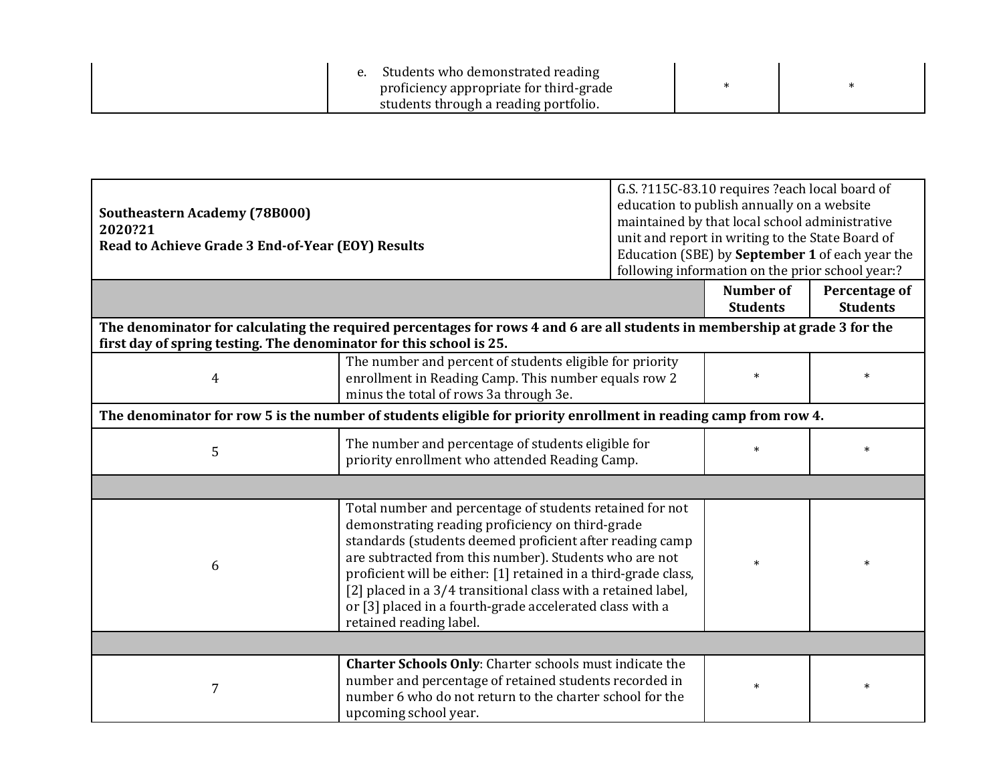| students through a reading portfolio. |
|---------------------------------------|
|---------------------------------------|

| <b>Southeastern Academy (78B000)</b><br>2020?21<br>Read to Achieve Grade 3 End-of-Year (EOY) Results             |                                                                                                                                                                                                                                                                                                                                                                                                                                                               | G.S. ?115C-83.10 requires ?each local board of<br>education to publish annually on a website<br>maintained by that local school administrative<br>unit and report in writing to the State Board of<br>Education (SBE) by September 1 of each year the<br>following information on the prior school year:? |                                     |                                  |  |
|------------------------------------------------------------------------------------------------------------------|---------------------------------------------------------------------------------------------------------------------------------------------------------------------------------------------------------------------------------------------------------------------------------------------------------------------------------------------------------------------------------------------------------------------------------------------------------------|-----------------------------------------------------------------------------------------------------------------------------------------------------------------------------------------------------------------------------------------------------------------------------------------------------------|-------------------------------------|----------------------------------|--|
|                                                                                                                  |                                                                                                                                                                                                                                                                                                                                                                                                                                                               |                                                                                                                                                                                                                                                                                                           | <b>Number of</b><br><b>Students</b> | Percentage of<br><b>Students</b> |  |
| first day of spring testing. The denominator for this school is 25.                                              | The denominator for calculating the required percentages for rows 4 and 6 are all students in membership at grade 3 for the                                                                                                                                                                                                                                                                                                                                   |                                                                                                                                                                                                                                                                                                           |                                     |                                  |  |
| $\overline{4}$                                                                                                   | The number and percent of students eligible for priority<br>enrollment in Reading Camp. This number equals row 2<br>minus the total of rows 3a through 3e.                                                                                                                                                                                                                                                                                                    |                                                                                                                                                                                                                                                                                                           | $\ast$                              | $\ast$                           |  |
| The denominator for row 5 is the number of students eligible for priority enrollment in reading camp from row 4. |                                                                                                                                                                                                                                                                                                                                                                                                                                                               |                                                                                                                                                                                                                                                                                                           |                                     |                                  |  |
| 5                                                                                                                | The number and percentage of students eligible for<br>priority enrollment who attended Reading Camp.                                                                                                                                                                                                                                                                                                                                                          |                                                                                                                                                                                                                                                                                                           | $\ast$                              | $\ast$                           |  |
|                                                                                                                  |                                                                                                                                                                                                                                                                                                                                                                                                                                                               |                                                                                                                                                                                                                                                                                                           |                                     |                                  |  |
| 6                                                                                                                | Total number and percentage of students retained for not<br>demonstrating reading proficiency on third-grade<br>standards (students deemed proficient after reading camp<br>are subtracted from this number). Students who are not<br>proficient will be either: [1] retained in a third-grade class,<br>[2] placed in a 3/4 transitional class with a retained label,<br>or [3] placed in a fourth-grade accelerated class with a<br>retained reading label. |                                                                                                                                                                                                                                                                                                           | $\ast$                              | $\ast$                           |  |
|                                                                                                                  |                                                                                                                                                                                                                                                                                                                                                                                                                                                               |                                                                                                                                                                                                                                                                                                           |                                     |                                  |  |
| 7                                                                                                                | <b>Charter Schools Only:</b> Charter schools must indicate the<br>number and percentage of retained students recorded in<br>number 6 who do not return to the charter school for the<br>upcoming school year.                                                                                                                                                                                                                                                 |                                                                                                                                                                                                                                                                                                           | $\ast$                              | $\ast$                           |  |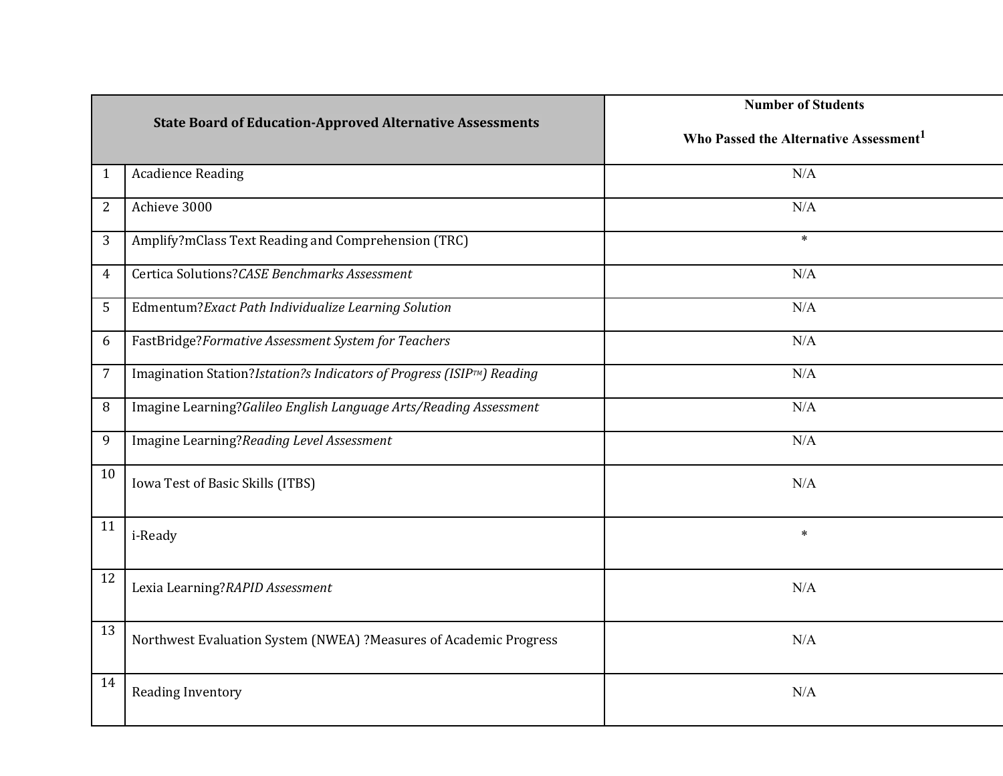|                |                                                                       | <b>Number of Students</b>                          |  |  |
|----------------|-----------------------------------------------------------------------|----------------------------------------------------|--|--|
|                | <b>State Board of Education-Approved Alternative Assessments</b>      | Who Passed the Alternative Assessment <sup>1</sup> |  |  |
| $\mathbf{1}$   | <b>Acadience Reading</b>                                              | N/A                                                |  |  |
| $\overline{2}$ | Achieve 3000                                                          | N/A                                                |  |  |
| 3              | Amplify?mClass Text Reading and Comprehension (TRC)                   | $\ast$                                             |  |  |
| 4              | Certica Solutions?CASE Benchmarks Assessment                          | N/A                                                |  |  |
| 5              | Edmentum?Exact Path Individualize Learning Solution                   | N/A                                                |  |  |
| 6              | FastBridge?Formative Assessment System for Teachers                   | N/A                                                |  |  |
| 7              | Imagination Station?Istation?s Indicators of Progress (ISIP™) Reading | N/A                                                |  |  |
| 8              | Imagine Learning?Galileo English Language Arts/Reading Assessment     | N/A                                                |  |  |
| 9              | Imagine Learning?Reading Level Assessment                             | N/A                                                |  |  |
| 10             | Iowa Test of Basic Skills (ITBS)                                      | N/A                                                |  |  |
| 11             | i-Ready                                                               | $\ast$                                             |  |  |
| 12             | Lexia Learning?RAPID Assessment                                       | N/A                                                |  |  |
| 13             | Northwest Evaluation System (NWEA) ?Measures of Academic Progress     | N/A                                                |  |  |
| 14             | <b>Reading Inventory</b>                                              | N/A                                                |  |  |